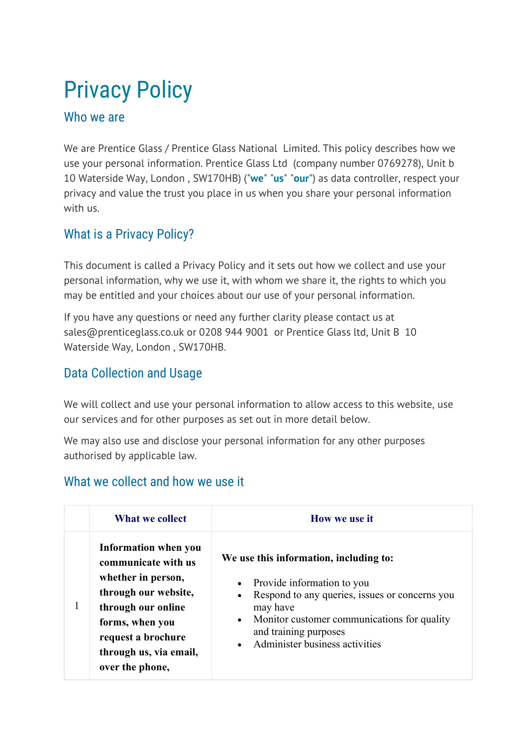# Privacy Policy

#### Who we are

We are Prentice Glass / Prentice Glass National Limited. This policy describes how we use your personal information. Prentice Glass Ltd (company number 0769278), Unit b 10 Waterside Way, London, SW170HB) ("we" "us" "our") as data controller, respect your privacy and value the trust you place in us when you share your personal information with us.

#### What is a Privacy Policy?

This document is called a Privacy Policy and it sets out how we collect and use your personal information, why we use it, with whom we share it, the rights to which you may be entitled and your choices about our use of your personal information.

If you have any questions or need any further clarity please contact us at sales@prenticeglass.co.uk or 0208 944 9001 or Prentice Glass ltd, Unit B 10 Waterside Way, London , SW170HB.

#### Data Collection and Usage

We will collect and use your personal information to allow access to this website, use our services and for other purposes as set out in more detail below.

We may also use and disclose your personal information for any other purposes authorised by applicable law.

#### What we collect and how we use it

|              | What we collect                                                                                                                                                                                       | How we use it                                                                                                                                                                                                                                                          |
|--------------|-------------------------------------------------------------------------------------------------------------------------------------------------------------------------------------------------------|------------------------------------------------------------------------------------------------------------------------------------------------------------------------------------------------------------------------------------------------------------------------|
| $\mathbf{I}$ | Information when you<br>communicate with us<br>whether in person,<br>through our website,<br>through our online<br>forms, when you<br>request a brochure<br>through us, via email,<br>over the phone, | We use this information, including to:<br>Provide information to you<br>Respond to any queries, issues or concerns you<br>$\bullet$<br>may have<br>Monitor customer communications for quality<br>$\bullet$<br>and training purposes<br>Administer business activities |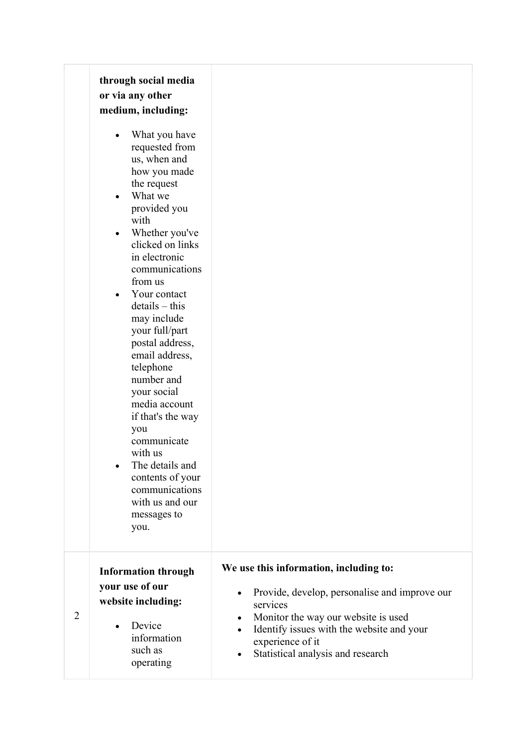|   | through social media<br>or via any other<br>medium, including:<br>What you have<br>requested from<br>us, when and<br>how you made<br>the request<br>What we<br>provided you<br>with<br>Whether you've<br>clicked on links<br>in electronic<br>communications<br>from us<br>Your contact<br>$\bullet$<br>$details - this$<br>may include<br>your full/part<br>postal address,<br>email address,<br>telephone<br>number and<br>your social<br>media account<br>if that's the way<br>you<br>communicate<br>with us<br>The details and<br>contents of your<br>communications<br>with us and our<br>messages to<br>you. |                                                                                                                                                                                                                                                               |
|---|--------------------------------------------------------------------------------------------------------------------------------------------------------------------------------------------------------------------------------------------------------------------------------------------------------------------------------------------------------------------------------------------------------------------------------------------------------------------------------------------------------------------------------------------------------------------------------------------------------------------|---------------------------------------------------------------------------------------------------------------------------------------------------------------------------------------------------------------------------------------------------------------|
| 2 | <b>Information through</b><br>your use of our<br>website including:<br>Device<br>information<br>such as<br>operating                                                                                                                                                                                                                                                                                                                                                                                                                                                                                               | We use this information, including to:<br>Provide, develop, personalise and improve our<br>$\bullet$<br>services<br>Monitor the way our website is used<br>Identify issues with the website and your<br>experience of it<br>Statistical analysis and research |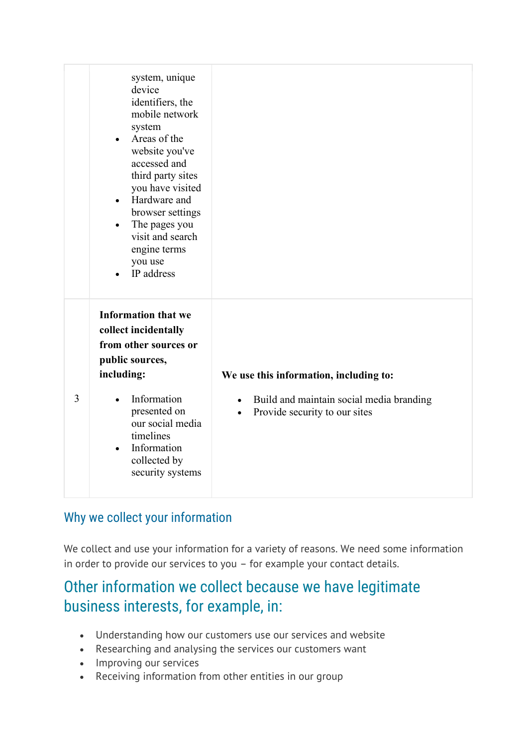|                | system, unique<br>device<br>identifiers, the<br>mobile network<br>system<br>Areas of the<br>$\bullet$<br>website you've<br>accessed and<br>third party sites<br>you have visited<br>Hardware and<br>$\bullet$<br>browser settings<br>The pages you<br>$\bullet$<br>visit and search<br>engine terms<br>you use<br>IP address<br>$\bullet$ |                                                                                                                                  |
|----------------|-------------------------------------------------------------------------------------------------------------------------------------------------------------------------------------------------------------------------------------------------------------------------------------------------------------------------------------------|----------------------------------------------------------------------------------------------------------------------------------|
| $\overline{3}$ | <b>Information that we</b><br>collect incidentally<br>from other sources or<br>public sources,<br>including:<br>Information<br>$\bullet$<br>presented on<br>our social media<br>timelines<br>Information<br>$\bullet$<br>collected by<br>security systems                                                                                 | We use this information, including to:<br>Build and maintain social media branding<br>Provide security to our sites<br>$\bullet$ |

#### Why we collect your information

We collect and use your information for a variety of reasons. We need some information in order to provide our services to you – for example your contact details.

# Other information we collect because we have legitimate business interests, for example, in:

- Understanding how our customers use our services and website
- Researching and analysing the services our customers want
- Improving our services
- Receiving information from other entities in our group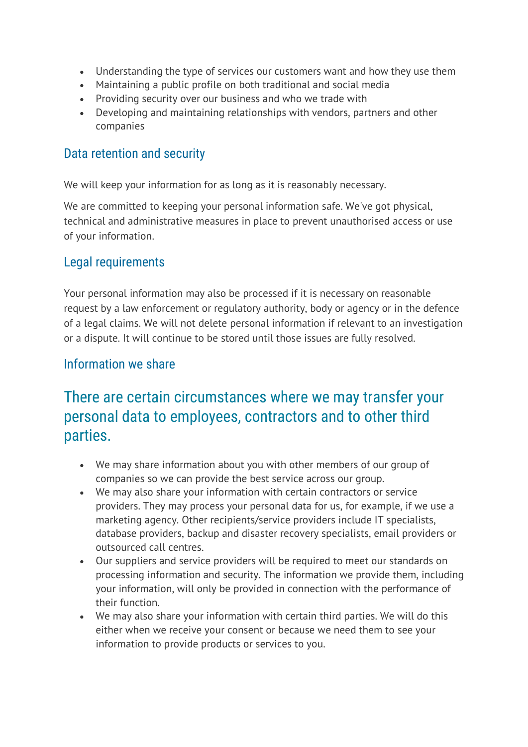- Understanding the type of services our customers want and how they use them
- Maintaining a public profile on both traditional and social media
- Providing security over our business and who we trade with
- Developing and maintaining relationships with vendors, partners and other companies

#### Data retention and security

We will keep your information for as long as it is reasonably necessary.

We are committed to keeping your personal information safe. We've got physical, technical and administrative measures in place to prevent unauthorised access or use of your information.

#### Legal requirements

Your personal information may also be processed if it is necessary on reasonable request by a law enforcement or regulatory authority, body or agency or in the defence of a legal claims. We will not delete personal information if relevant to an investigation or a dispute. It will continue to be stored until those issues are fully resolved.

#### Information we share

## There are certain circumstances where we may transfer your personal data to employees, contractors and to other third parties.

- We may share information about you with other members of our group of companies so we can provide the best service across our group.
- We may also share your information with certain contractors or service providers. They may process your personal data for us, for example, if we use a marketing agency. Other recipients/service providers include IT specialists, database providers, backup and disaster recovery specialists, email providers or outsourced call centres.
- Our suppliers and service providers will be required to meet our standards on processing information and security. The information we provide them, including your information, will only be provided in connection with the performance of their function.
- We may also share your information with certain third parties. We will do this either when we receive your consent or because we need them to see your information to provide products or services to you.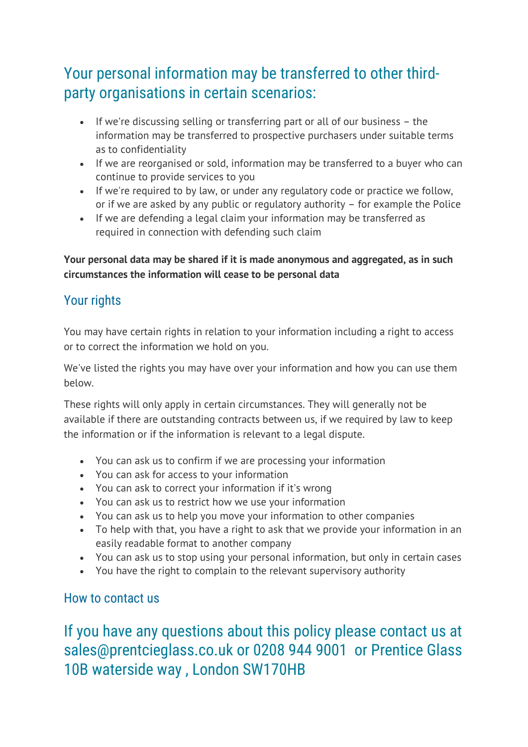# Your personal information may be transferred to other thirdparty organisations in certain scenarios:

- If we're discussing selling or transferring part or all of our business  $-$  the information may be transferred to prospective purchasers under suitable terms as to confidentiality
- If we are reorganised or sold, information may be transferred to a buyer who can continue to provide services to you
- If we're required to by law, or under any requiatory code or practice we follow, or if we are asked by any public or regulatory authority – for example the Police
- If we are defending a legal claim your information may be transferred as required in connection with defending such claim

#### Your personal data may be shared if it is made anonymous and aggregated, as in such circumstances the information will cease to be personal data

#### Your rights

You may have certain rights in relation to your information including a right to access or to correct the information we hold on you.

We've listed the rights you may have over your information and how you can use them below.

These rights will only apply in certain circumstances. They will generally not be available if there are outstanding contracts between us, if we required by law to keep the information or if the information is relevant to a legal dispute.

- You can ask us to confirm if we are processing your information
- You can ask for access to your information
- You can ask to correct your information if it's wrong
- You can ask us to restrict how we use your information
- You can ask us to help you move your information to other companies
- To help with that, you have a right to ask that we provide your information in an easily readable format to another company
- You can ask us to stop using your personal information, but only in certain cases
- You have the right to complain to the relevant supervisory authority

#### How to contact us

If you have any questions about this policy please contact us at sales@prentcieglass.co.uk or 0208 944 9001 or Prentice Glass 10B waterside way , London SW170HB